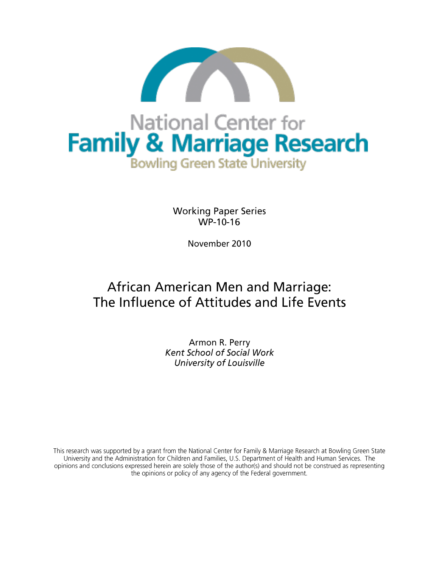

**Working Paper Series** WP-10-16

November 2010

# **African American Men and Marriage:** The Influence of Attitudes and Life Events

Armon R. Perry Kent School of Social Work University of Louisville

This research was supported by a grant from the National Center for Family & Marriage Research at Bowling Green State University and the Administration for Children and Families, U.S. Department of Health and Human Services. The opinions and conclusions expressed herein are solely those of the author(s) and should not be construed as representing the opinions or policy of any agency of the Federal government.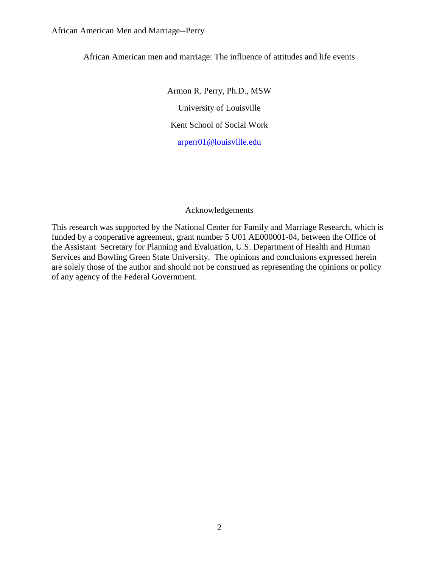## African American men and marriage: The influence of attitudes and life events

Armon R. Perry, Ph.D., MSW University of Louisville Kent School of Social Work [arperr01@louisville.edu](mailto:arperr01@louisville.edu)

## Acknowledgements

This research was supported by the National Center for Family and Marriage Research, which is funded by a cooperative agreement, grant number 5 U01 AE000001-04, between the Office of the Assistant Secretary for Planning and Evaluation, U.S. Department of Health and Human Services and Bowling Green State University. The opinions and conclusions expressed herein are solely those of the author and should not be construed as representing the opinions or policy of any agency of the Federal Government.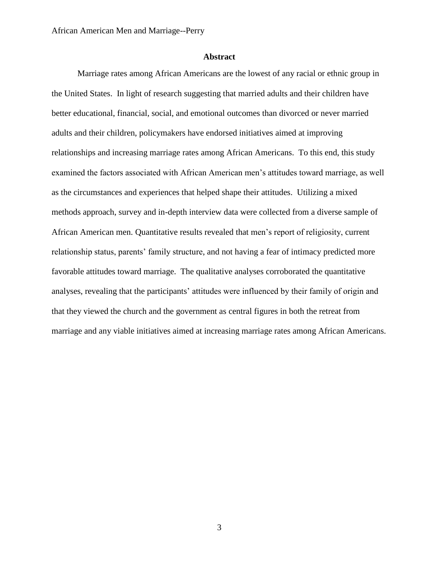### **Abstract**

Marriage rates among African Americans are the lowest of any racial or ethnic group in the United States. In light of research suggesting that married adults and their children have better educational, financial, social, and emotional outcomes than divorced or never married adults and their children, policymakers have endorsed initiatives aimed at improving relationships and increasing marriage rates among African Americans. To this end, this study examined the factors associated with African American men"s attitudes toward marriage, as well as the circumstances and experiences that helped shape their attitudes. Utilizing a mixed methods approach, survey and in-depth interview data were collected from a diverse sample of African American men. Quantitative results revealed that men"s report of religiosity, current relationship status, parents' family structure, and not having a fear of intimacy predicted more favorable attitudes toward marriage. The qualitative analyses corroborated the quantitative analyses, revealing that the participants' attitudes were influenced by their family of origin and that they viewed the church and the government as central figures in both the retreat from marriage and any viable initiatives aimed at increasing marriage rates among African Americans.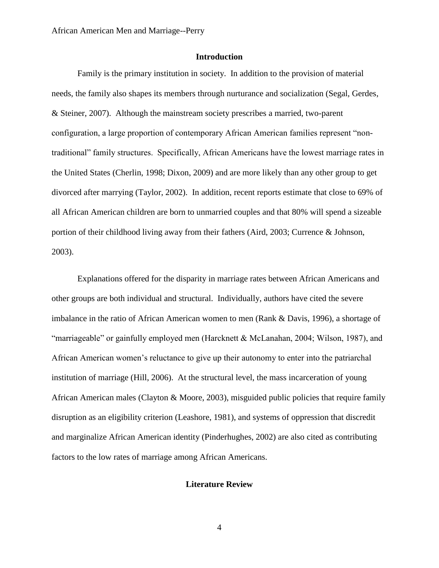## **Introduction**

Family is the primary institution in society. In addition to the provision of material needs, the family also shapes its members through nurturance and socialization (Segal, Gerdes, & Steiner, 2007). Although the mainstream society prescribes a married, two-parent configuration, a large proportion of contemporary African American families represent "nontraditional" family structures. Specifically, African Americans have the lowest marriage rates in the United States (Cherlin, 1998; Dixon, 2009) and are more likely than any other group to get divorced after marrying (Taylor, 2002). In addition, recent reports estimate that close to 69% of all African American children are born to unmarried couples and that 80% will spend a sizeable portion of their childhood living away from their fathers (Aird, 2003; Currence & Johnson, 2003).

Explanations offered for the disparity in marriage rates between African Americans and other groups are both individual and structural. Individually, authors have cited the severe imbalance in the ratio of African American women to men (Rank & Davis, 1996), a shortage of "marriageable" or gainfully employed men (Harcknett & McLanahan, 2004; Wilson, 1987), and African American women"s reluctance to give up their autonomy to enter into the patriarchal institution of marriage (Hill, 2006). At the structural level, the mass incarceration of young African American males (Clayton & Moore, 2003), misguided public policies that require family disruption as an eligibility criterion (Leashore, 1981), and systems of oppression that discredit and marginalize African American identity (Pinderhughes, 2002) are also cited as contributing factors to the low rates of marriage among African Americans.

#### **Literature Review**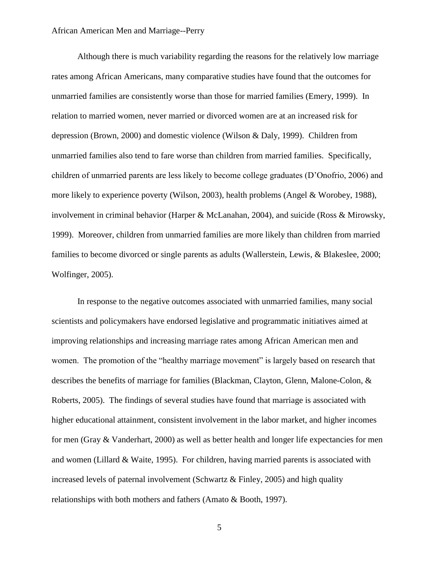Although there is much variability regarding the reasons for the relatively low marriage rates among African Americans, many comparative studies have found that the outcomes for unmarried families are consistently worse than those for married families (Emery, 1999). In relation to married women, never married or divorced women are at an increased risk for depression (Brown, 2000) and domestic violence (Wilson & Daly, 1999). Children from unmarried families also tend to fare worse than children from married families. Specifically, children of unmarried parents are less likely to become college graduates (D"Onofrio, 2006) and more likely to experience poverty (Wilson, 2003), health problems (Angel & Worobey, 1988), involvement in criminal behavior (Harper & McLanahan, 2004), and suicide (Ross & Mirowsky, 1999). Moreover, children from unmarried families are more likely than children from married families to become divorced or single parents as adults (Wallerstein, Lewis, & Blakeslee, 2000; Wolfinger, 2005).

In response to the negative outcomes associated with unmarried families, many social scientists and policymakers have endorsed legislative and programmatic initiatives aimed at improving relationships and increasing marriage rates among African American men and women. The promotion of the "healthy marriage movement" is largely based on research that describes the benefits of marriage for families (Blackman, Clayton, Glenn, Malone-Colon, & Roberts, 2005). The findings of several studies have found that marriage is associated with higher educational attainment, consistent involvement in the labor market, and higher incomes for men (Gray & Vanderhart, 2000) as well as better health and longer life expectancies for men and women (Lillard & Waite, 1995). For children, having married parents is associated with increased levels of paternal involvement (Schwartz  $\&$  Finley, 2005) and high quality relationships with both mothers and fathers (Amato & Booth, 1997).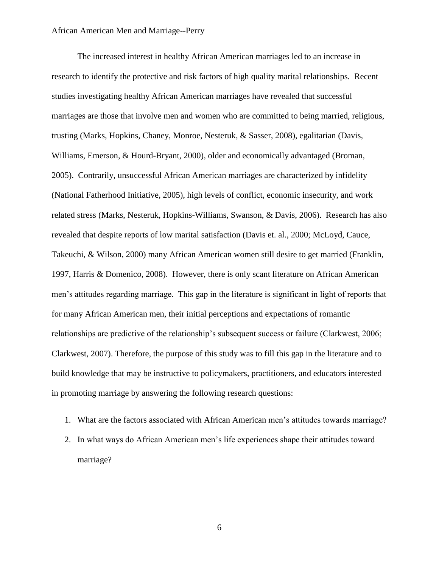The increased interest in healthy African American marriages led to an increase in research to identify the protective and risk factors of high quality marital relationships. Recent studies investigating healthy African American marriages have revealed that successful marriages are those that involve men and women who are committed to being married, religious, trusting (Marks, Hopkins, Chaney, Monroe, Nesteruk, & Sasser, 2008), egalitarian (Davis, Williams, Emerson, & Hourd-Bryant, 2000), older and economically advantaged (Broman, 2005). Contrarily, unsuccessful African American marriages are characterized by infidelity (National Fatherhood Initiative, 2005), high levels of conflict, economic insecurity, and work related stress (Marks, Nesteruk, Hopkins-Williams, Swanson, & Davis, 2006). Research has also revealed that despite reports of low marital satisfaction (Davis et. al., 2000; McLoyd, Cauce, Takeuchi, & Wilson, 2000) many African American women still desire to get married (Franklin, 1997, Harris & Domenico, 2008). However, there is only scant literature on African American men"s attitudes regarding marriage. This gap in the literature is significant in light of reports that for many African American men, their initial perceptions and expectations of romantic relationships are predictive of the relationship's subsequent success or failure (Clarkwest, 2006; Clarkwest, 2007). Therefore, the purpose of this study was to fill this gap in the literature and to build knowledge that may be instructive to policymakers, practitioners, and educators interested in promoting marriage by answering the following research questions:

- 1. What are the factors associated with African American men"s attitudes towards marriage?
- 2. In what ways do African American men"s life experiences shape their attitudes toward marriage?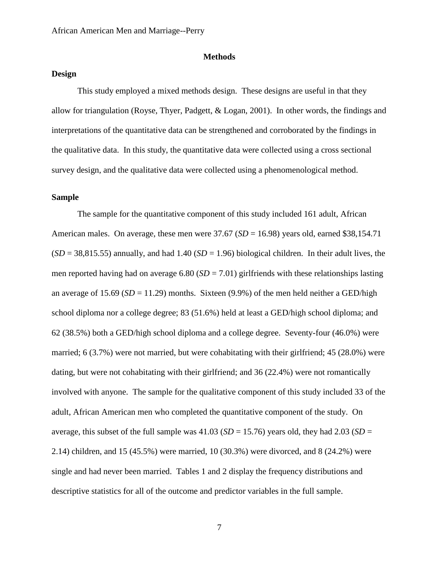### **Methods**

#### **Design**

This study employed a mixed methods design. These designs are useful in that they allow for triangulation (Royse, Thyer, Padgett, & Logan, 2001). In other words, the findings and interpretations of the quantitative data can be strengthened and corroborated by the findings in the qualitative data. In this study, the quantitative data were collected using a cross sectional survey design, and the qualitative data were collected using a phenomenological method.

## **Sample**

The sample for the quantitative component of this study included 161 adult, African American males. On average, these men were  $37.67$  (*SD* = 16.98) years old, earned \$38,154.71  $(SD = 38,815.55)$  annually, and had  $1.40$   $(SD = 1.96)$  biological children. In their adult lives, the men reported having had on average  $6.80$  (*SD* = 7.01) girlfriends with these relationships lasting an average of  $15.69$  ( $SD = 11.29$ ) months. Sixteen (9.9%) of the men held neither a GED/high school diploma nor a college degree; 83 (51.6%) held at least a GED/high school diploma; and 62 (38.5%) both a GED/high school diploma and a college degree. Seventy-four (46.0%) were married; 6 (3.7%) were not married, but were cohabitating with their girlfriend; 45 (28.0%) were dating, but were not cohabitating with their girlfriend; and 36 (22.4%) were not romantically involved with anyone. The sample for the qualitative component of this study included 33 of the adult, African American men who completed the quantitative component of the study. On average, this subset of the full sample was  $41.03$  (*SD* = 15.76) years old, they had 2.03 (*SD* = 2.14) children, and 15 (45.5%) were married, 10 (30.3%) were divorced, and 8 (24.2%) were single and had never been married. Tables 1 and 2 display the frequency distributions and descriptive statistics for all of the outcome and predictor variables in the full sample.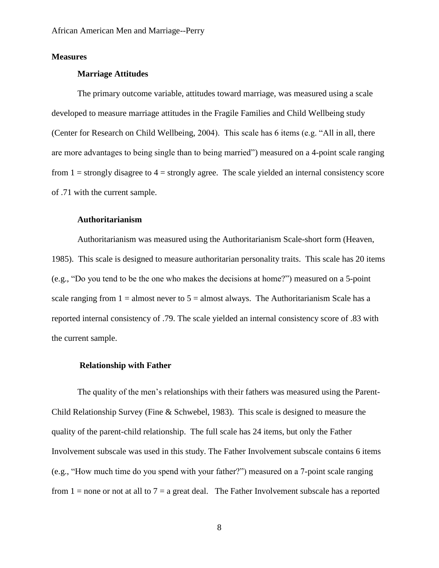## **Measures**

#### **Marriage Attitudes**

The primary outcome variable, attitudes toward marriage, was measured using a scale developed to measure marriage attitudes in the Fragile Families and Child Wellbeing study (Center for Research on Child Wellbeing, 2004). This scale has 6 items (e.g. "All in all, there are more advantages to being single than to being married") measured on a 4-point scale ranging from  $1 =$  strongly disagree to  $4 =$  strongly agree. The scale yielded an internal consistency score of .71 with the current sample.

#### **Authoritarianism**

Authoritarianism was measured using the Authoritarianism Scale-short form (Heaven, 1985). This scale is designed to measure authoritarian personality traits. This scale has 20 items (e.g., "Do you tend to be the one who makes the decisions at home?") measured on a 5-point scale ranging from  $1 =$  almost never to  $5 =$  almost always. The Authoritarianism Scale has a reported internal consistency of .79. The scale yielded an internal consistency score of .83 with the current sample.

#### **Relationship with Father**

The quality of the men's relationships with their fathers was measured using the Parent-Child Relationship Survey (Fine & Schwebel, 1983). This scale is designed to measure the quality of the parent-child relationship. The full scale has 24 items, but only the Father Involvement subscale was used in this study. The Father Involvement subscale contains 6 items (e.g., "How much time do you spend with your father?") measured on a 7-point scale ranging from  $1 =$  none or not at all to  $7 =$  a great deal. The Father Involvement subscale has a reported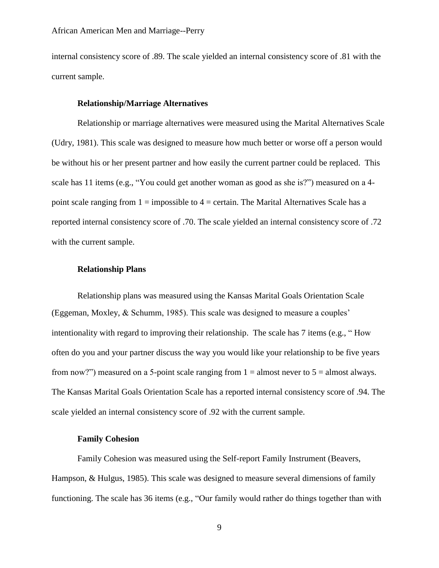internal consistency score of .89. The scale yielded an internal consistency score of .81 with the current sample.

### **Relationship/Marriage Alternatives**

Relationship or marriage alternatives were measured using the Marital Alternatives Scale (Udry, 1981). This scale was designed to measure how much better or worse off a person would be without his or her present partner and how easily the current partner could be replaced. This scale has 11 items (e.g., "You could get another woman as good as she is?") measured on a 4 point scale ranging from  $1 = \text{impossible}$  to  $4 = \text{certain}$ . The Marital Alternatives Scale has a reported internal consistency score of .70. The scale yielded an internal consistency score of .72 with the current sample.

### **Relationship Plans**

Relationship plans was measured using the Kansas Marital Goals Orientation Scale (Eggeman, Moxley, & Schumm, 1985). This scale was designed to measure a couples" intentionality with regard to improving their relationship. The scale has 7 items (e.g., " How often do you and your partner discuss the way you would like your relationship to be five years from now?") measured on a 5-point scale ranging from  $1 =$  almost never to  $5 =$  almost always. The Kansas Marital Goals Orientation Scale has a reported internal consistency score of .94. The scale yielded an internal consistency score of .92 with the current sample.

## **Family Cohesion**

Family Cohesion was measured using the Self-report Family Instrument (Beavers, Hampson, & Hulgus, 1985). This scale was designed to measure several dimensions of family functioning. The scale has 36 items (e.g., "Our family would rather do things together than with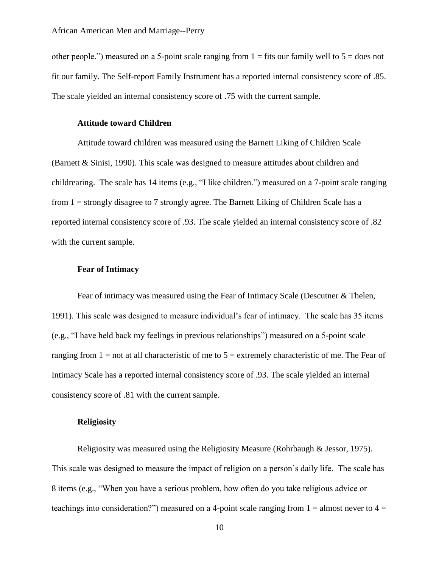other people.") measured on a 5-point scale ranging from  $1 =$  fits our family well to  $5 =$  does not fit our family. The Self-report Family Instrument has a reported internal consistency score of .85. The scale yielded an internal consistency score of .75 with the current sample.

### **Attitude toward Children**

Attitude toward children was measured using the Barnett Liking of Children Scale (Barnett & Sinisi, 1990). This scale was designed to measure attitudes about children and childrearing. The scale has 14 items (e.g., "I like children.") measured on a 7-point scale ranging from 1 = strongly disagree to 7 strongly agree. The Barnett Liking of Children Scale has a reported internal consistency score of .93. The scale yielded an internal consistency score of .82 with the current sample.

## **Fear of Intimacy**

Fear of intimacy was measured using the Fear of Intimacy Scale (Descutner & Thelen, 1991). This scale was designed to measure individual"s fear of intimacy. The scale has 35 items (e.g., "I have held back my feelings in previous relationships") measured on a 5-point scale ranging from  $1 =$  not at all characteristic of me to  $5 =$  extremely characteristic of me. The Fear of Intimacy Scale has a reported internal consistency score of .93. The scale yielded an internal consistency score of .81 with the current sample.

## **Religiosity**

Religiosity was measured using the Religiosity Measure (Rohrbaugh & Jessor, 1975). This scale was designed to measure the impact of religion on a person"s daily life. The scale has 8 items (e.g., "When you have a serious problem, how often do you take religious advice or teachings into consideration?") measured on a 4-point scale ranging from  $1 =$  almost never to  $4 =$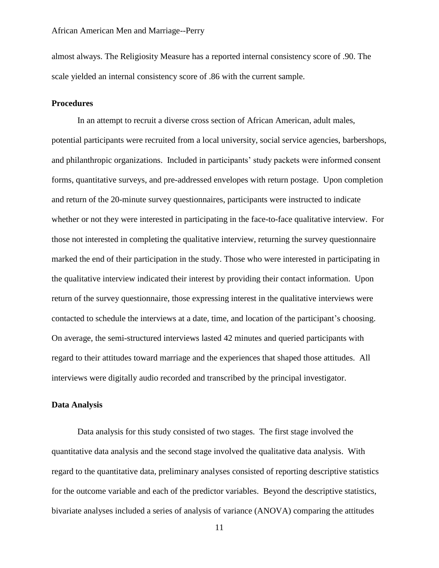almost always. The Religiosity Measure has a reported internal consistency score of .90. The scale yielded an internal consistency score of .86 with the current sample.

## **Procedures**

In an attempt to recruit a diverse cross section of African American, adult males, potential participants were recruited from a local university, social service agencies, barbershops, and philanthropic organizations. Included in participants' study packets were informed consent forms, quantitative surveys, and pre-addressed envelopes with return postage. Upon completion and return of the 20-minute survey questionnaires, participants were instructed to indicate whether or not they were interested in participating in the face-to-face qualitative interview. For those not interested in completing the qualitative interview, returning the survey questionnaire marked the end of their participation in the study. Those who were interested in participating in the qualitative interview indicated their interest by providing their contact information. Upon return of the survey questionnaire, those expressing interest in the qualitative interviews were contacted to schedule the interviews at a date, time, and location of the participant's choosing. On average, the semi-structured interviews lasted 42 minutes and queried participants with regard to their attitudes toward marriage and the experiences that shaped those attitudes. All interviews were digitally audio recorded and transcribed by the principal investigator.

#### **Data Analysis**

Data analysis for this study consisted of two stages. The first stage involved the quantitative data analysis and the second stage involved the qualitative data analysis. With regard to the quantitative data, preliminary analyses consisted of reporting descriptive statistics for the outcome variable and each of the predictor variables. Beyond the descriptive statistics, bivariate analyses included a series of analysis of variance (ANOVA) comparing the attitudes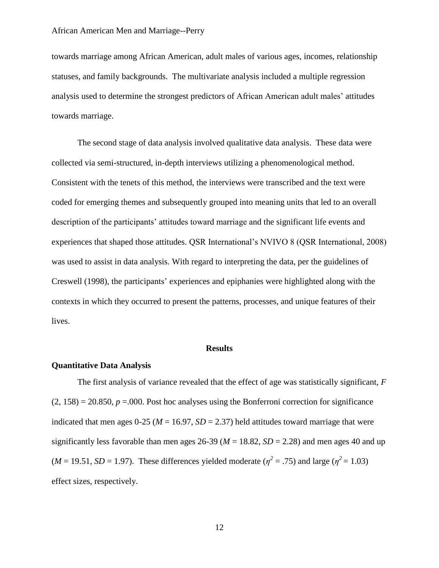towards marriage among African American, adult males of various ages, incomes, relationship statuses, and family backgrounds. The multivariate analysis included a multiple regression analysis used to determine the strongest predictors of African American adult males" attitudes towards marriage.

The second stage of data analysis involved qualitative data analysis. These data were collected via semi-structured, in-depth interviews utilizing a phenomenological method. Consistent with the tenets of this method, the interviews were transcribed and the text were coded for emerging themes and subsequently grouped into meaning units that led to an overall description of the participants' attitudes toward marriage and the significant life events and experiences that shaped those attitudes. QSR International's NVIVO 8 (QSR International, 2008) was used to assist in data analysis. With regard to interpreting the data, per the guidelines of Creswell (1998), the participants" experiences and epiphanies were highlighted along with the contexts in which they occurred to present the patterns, processes, and unique features of their lives.

#### **Results**

## **Quantitative Data Analysis**

The first analysis of variance revealed that the effect of age was statistically significant, *F*  $(2, 158) = 20.850$ ,  $p = .000$ . Post hoc analyses using the Bonferroni correction for significance indicated that men ages  $0-25$  ( $M = 16.97$ ,  $SD = 2.37$ ) held attitudes toward marriage that were significantly less favorable than men ages 26-39 ( $M = 18.82$ ,  $SD = 2.28$ ) and men ages 40 and up  $(M = 19.51, SD = 1.97)$ . These differences yielded moderate  $(\eta^2 = .75)$  and large  $(\eta^2 = 1.03)$ effect sizes, respectively.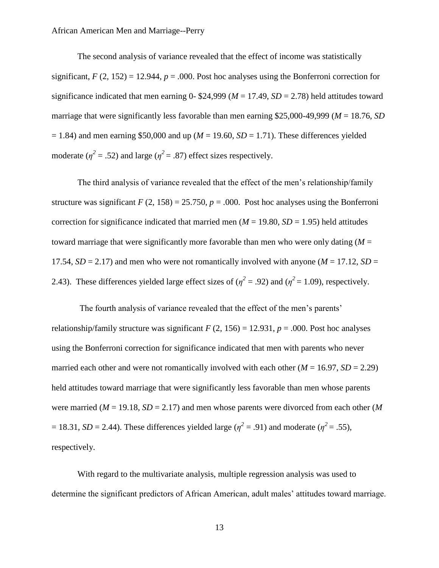The second analysis of variance revealed that the effect of income was statistically significant,  $F(2, 152) = 12.944$ ,  $p = .000$ . Post hoc analyses using the Bonferroni correction for significance indicated that men earning 0- \$24,999 ( $M = 17.49$ ,  $SD = 2.78$ ) held attitudes toward marriage that were significantly less favorable than men earning \$25,000-49,999 (*M* = 18.76, *SD*  $= 1.84$ ) and men earning \$50,000 and up ( $M = 19.60$ ,  $SD = 1.71$ ). These differences yielded moderate ( $\eta^2$  = .52) and large ( $\eta^2$  = .87) effect sizes respectively.

The third analysis of variance revealed that the effect of the men's relationship/family structure was significant  $F(2, 158) = 25.750$ ,  $p = .000$ . Post hoc analyses using the Bonferroni correction for significance indicated that married men ( $M = 19.80$ ,  $SD = 1.95$ ) held attitudes toward marriage that were significantly more favorable than men who were only dating  $(M =$ 17.54,  $SD = 2.17$ ) and men who were not romantically involved with anyone ( $M = 17.12$ ,  $SD =$ 2.43). These differences yielded large effect sizes of ( $\eta^2 = .92$ ) and ( $\eta^2 = 1.09$ ), respectively.

The fourth analysis of variance revealed that the effect of the men's parents' relationship/family structure was significant  $F(2, 156) = 12.931$ ,  $p = .000$ . Post hoc analyses using the Bonferroni correction for significance indicated that men with parents who never married each other and were not romantically involved with each other  $(M = 16.97, SD = 2.29)$ held attitudes toward marriage that were significantly less favorable than men whose parents were married ( $M = 19.18$ ,  $SD = 2.17$ ) and men whose parents were divorced from each other (M)  $= 18.31, SD = 2.44$ ). These differences yielded large ( $\eta^2 = .91$ ) and moderate ( $\eta^2 = .55$ ), respectively.

With regard to the multivariate analysis, multiple regression analysis was used to determine the significant predictors of African American, adult males' attitudes toward marriage.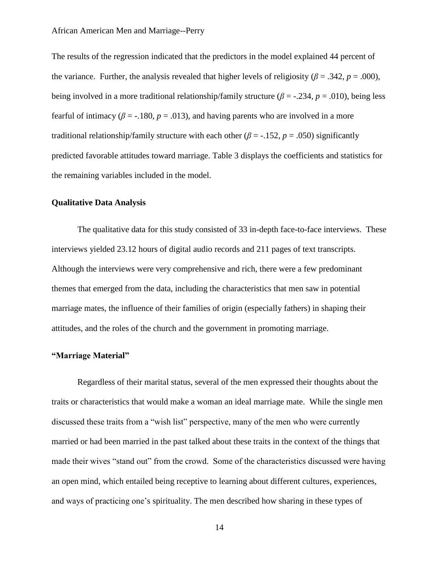The results of the regression indicated that the predictors in the model explained 44 percent of the variance. Further, the analysis revealed that higher levels of religiosity ( $\beta$  = .342, *p* = .000), being involved in a more traditional relationship/family structure ( $\beta$  = -.234,  $p$  = .010), being less fearful of intimacy ( $\beta$  = -.180,  $p$  = .013), and having parents who are involved in a more traditional relationship/family structure with each other ( $\beta$  = -.152,  $p$  = .050) significantly predicted favorable attitudes toward marriage. Table 3 displays the coefficients and statistics for the remaining variables included in the model.

## **Qualitative Data Analysis**

The qualitative data for this study consisted of 33 in-depth face-to-face interviews. These interviews yielded 23.12 hours of digital audio records and 211 pages of text transcripts. Although the interviews were very comprehensive and rich, there were a few predominant themes that emerged from the data, including the characteristics that men saw in potential marriage mates, the influence of their families of origin (especially fathers) in shaping their attitudes, and the roles of the church and the government in promoting marriage.

## **"Marriage Material"**

Regardless of their marital status, several of the men expressed their thoughts about the traits or characteristics that would make a woman an ideal marriage mate. While the single men discussed these traits from a "wish list" perspective, many of the men who were currently married or had been married in the past talked about these traits in the context of the things that made their wives "stand out" from the crowd. Some of the characteristics discussed were having an open mind, which entailed being receptive to learning about different cultures, experiences, and ways of practicing one"s spirituality. The men described how sharing in these types of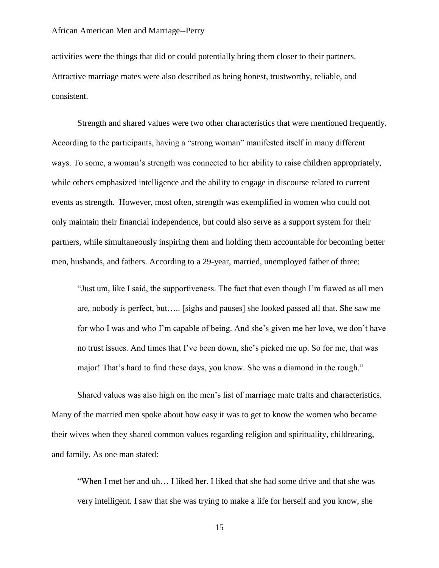activities were the things that did or could potentially bring them closer to their partners. Attractive marriage mates were also described as being honest, trustworthy, reliable, and consistent.

Strength and shared values were two other characteristics that were mentioned frequently. According to the participants, having a "strong woman" manifested itself in many different ways. To some, a woman"s strength was connected to her ability to raise children appropriately, while others emphasized intelligence and the ability to engage in discourse related to current events as strength. However, most often, strength was exemplified in women who could not only maintain their financial independence, but could also serve as a support system for their partners, while simultaneously inspiring them and holding them accountable for becoming better men, husbands, and fathers. According to a 29-year, married, unemployed father of three:

"Just um, like I said, the supportiveness. The fact that even though I"m flawed as all men are, nobody is perfect, but….. [sighs and pauses] she looked passed all that. She saw me for who I was and who I"m capable of being. And she"s given me her love, we don"t have no trust issues. And times that I've been down, she's picked me up. So for me, that was major! That's hard to find these days, you know. She was a diamond in the rough."

Shared values was also high on the men"s list of marriage mate traits and characteristics. Many of the married men spoke about how easy it was to get to know the women who became their wives when they shared common values regarding religion and spirituality, childrearing, and family. As one man stated:

"When I met her and uh… I liked her. I liked that she had some drive and that she was very intelligent. I saw that she was trying to make a life for herself and you know, she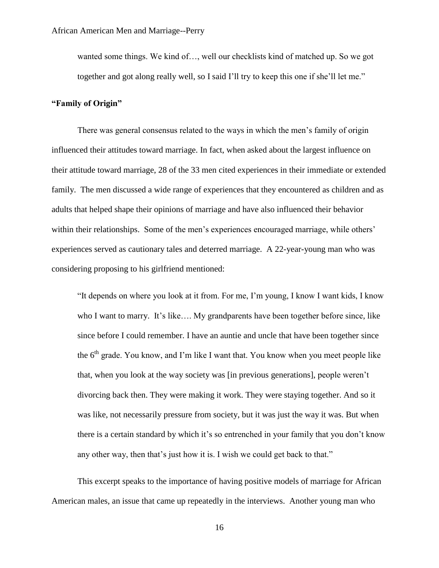wanted some things. We kind of…, well our checklists kind of matched up. So we got together and got along really well, so I said I"ll try to keep this one if she"ll let me."

## **"Family of Origin"**

There was general consensus related to the ways in which the men"s family of origin influenced their attitudes toward marriage. In fact, when asked about the largest influence on their attitude toward marriage, 28 of the 33 men cited experiences in their immediate or extended family. The men discussed a wide range of experiences that they encountered as children and as adults that helped shape their opinions of marriage and have also influenced their behavior within their relationships. Some of the men's experiences encouraged marriage, while others' experiences served as cautionary tales and deterred marriage. A 22-year-young man who was considering proposing to his girlfriend mentioned:

"It depends on where you look at it from. For me, I"m young, I know I want kids, I know who I want to marry. It's like.... My grandparents have been together before since, like since before I could remember. I have an auntie and uncle that have been together since the  $6<sup>th</sup>$  grade. You know, and I'm like I want that. You know when you meet people like that, when you look at the way society was [in previous generations], people weren"t divorcing back then. They were making it work. They were staying together. And so it was like, not necessarily pressure from society, but it was just the way it was. But when there is a certain standard by which it's so entrenched in your family that you don't know any other way, then that's just how it is. I wish we could get back to that."

This excerpt speaks to the importance of having positive models of marriage for African American males, an issue that came up repeatedly in the interviews. Another young man who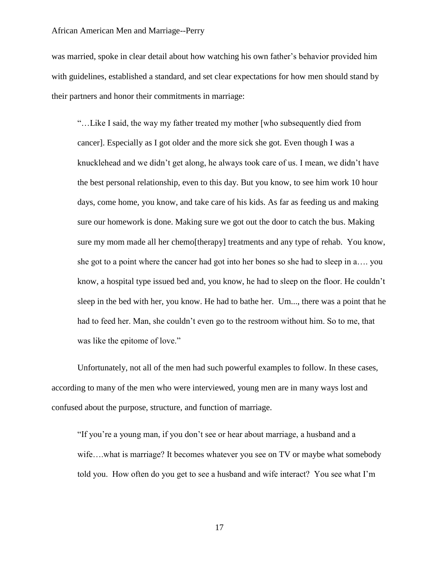was married, spoke in clear detail about how watching his own father"s behavior provided him with guidelines, established a standard, and set clear expectations for how men should stand by their partners and honor their commitments in marriage:

"…Like I said, the way my father treated my mother [who subsequently died from cancer]. Especially as I got older and the more sick she got. Even though I was a knucklehead and we didn"t get along, he always took care of us. I mean, we didn"t have the best personal relationship, even to this day. But you know, to see him work 10 hour days, come home, you know, and take care of his kids. As far as feeding us and making sure our homework is done. Making sure we got out the door to catch the bus. Making sure my mom made all her chemo[therapy] treatments and any type of rehab. You know, she got to a point where the cancer had got into her bones so she had to sleep in a…. you know, a hospital type issued bed and, you know, he had to sleep on the floor. He couldn"t sleep in the bed with her, you know. He had to bathe her. Um..., there was a point that he had to feed her. Man, she couldn't even go to the restroom without him. So to me, that was like the epitome of love."

Unfortunately, not all of the men had such powerful examples to follow. In these cases, according to many of the men who were interviewed, young men are in many ways lost and confused about the purpose, structure, and function of marriage.

"If you"re a young man, if you don"t see or hear about marriage, a husband and a wife...what is marriage? It becomes whatever you see on TV or maybe what somebody told you. How often do you get to see a husband and wife interact? You see what I"m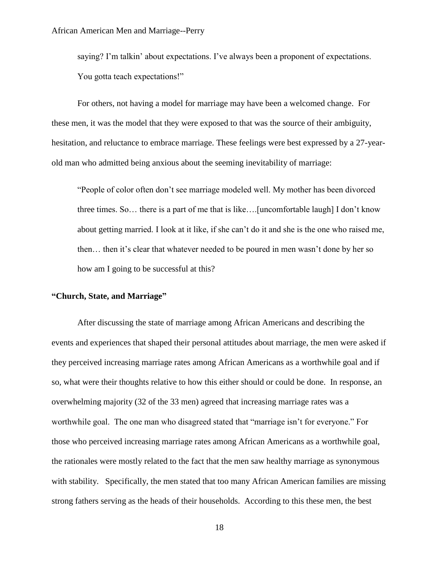saying? I'm talkin' about expectations. I've always been a proponent of expectations. You gotta teach expectations!"

For others, not having a model for marriage may have been a welcomed change. For these men, it was the model that they were exposed to that was the source of their ambiguity, hesitation, and reluctance to embrace marriage. These feelings were best expressed by a 27-yearold man who admitted being anxious about the seeming inevitability of marriage:

"People of color often don"t see marriage modeled well. My mother has been divorced three times. So… there is a part of me that is like….[uncomfortable laugh] I don"t know about getting married. I look at it like, if she can"t do it and she is the one who raised me, then… then it"s clear that whatever needed to be poured in men wasn"t done by her so how am I going to be successful at this?

## **"Church, State, and Marriage"**

After discussing the state of marriage among African Americans and describing the events and experiences that shaped their personal attitudes about marriage, the men were asked if they perceived increasing marriage rates among African Americans as a worthwhile goal and if so, what were their thoughts relative to how this either should or could be done. In response, an overwhelming majority (32 of the 33 men) agreed that increasing marriage rates was a worthwhile goal. The one man who disagreed stated that "marriage isn"t for everyone." For those who perceived increasing marriage rates among African Americans as a worthwhile goal, the rationales were mostly related to the fact that the men saw healthy marriage as synonymous with stability. Specifically, the men stated that too many African American families are missing strong fathers serving as the heads of their households. According to this these men, the best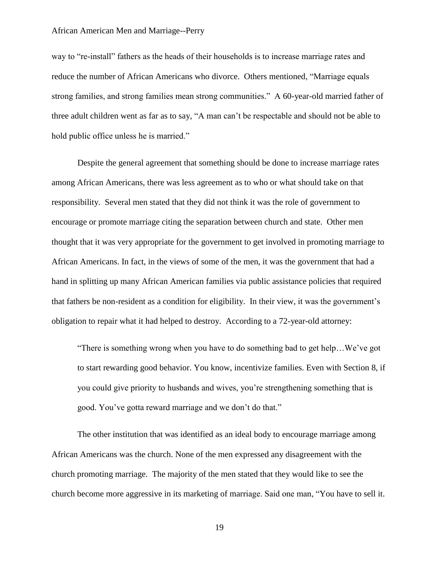way to "re-install" fathers as the heads of their households is to increase marriage rates and reduce the number of African Americans who divorce. Others mentioned, "Marriage equals strong families, and strong families mean strong communities." A 60-year-old married father of three adult children went as far as to say, "A man can"t be respectable and should not be able to hold public office unless he is married."

Despite the general agreement that something should be done to increase marriage rates among African Americans, there was less agreement as to who or what should take on that responsibility. Several men stated that they did not think it was the role of government to encourage or promote marriage citing the separation between church and state. Other men thought that it was very appropriate for the government to get involved in promoting marriage to African Americans. In fact, in the views of some of the men, it was the government that had a hand in splitting up many African American families via public assistance policies that required that fathers be non-resident as a condition for eligibility. In their view, it was the government"s obligation to repair what it had helped to destroy. According to a 72-year-old attorney:

"There is something wrong when you have to do something bad to get help…We"ve got to start rewarding good behavior. You know, incentivize families. Even with Section 8, if you could give priority to husbands and wives, you"re strengthening something that is good. You"ve gotta reward marriage and we don"t do that."

The other institution that was identified as an ideal body to encourage marriage among African Americans was the church. None of the men expressed any disagreement with the church promoting marriage. The majority of the men stated that they would like to see the church become more aggressive in its marketing of marriage. Said one man, "You have to sell it.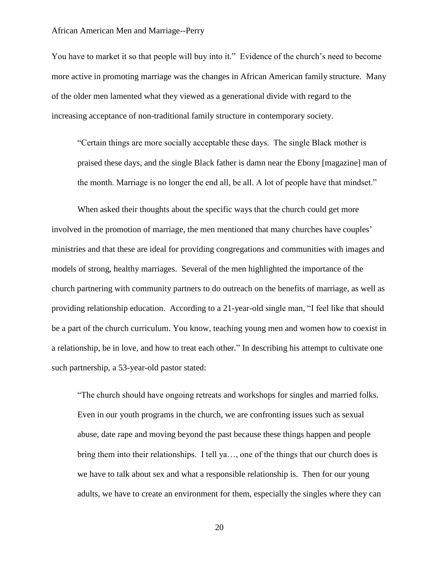You have to market it so that people will buy into it." Evidence of the church's need to become more active in promoting marriage was the changes in African American family structure. Many of the older men lamented what they viewed as a generational divide with regard to the increasing acceptance of non-traditional family structure in contemporary society.

"Certain things are more socially acceptable these days. The single Black mother is praised these days, and the single Black father is damn near the Ebony [magazine] man of the month. Marriage is no longer the end all, be all. A lot of people have that mindset."

When asked their thoughts about the specific ways that the church could get more involved in the promotion of marriage, the men mentioned that many churches have couples' ministries and that these are ideal for providing congregations and communities with images and models of strong, healthy marriages. Several of the men highlighted the importance of the church partnering with community partners to do outreach on the benefits of marriage, as well as providing relationship education. According to a 21-year-old single man, "I feel like that should be a part of the church curriculum. You know, teaching young men and women how to coexist in a relationship, be in love, and how to treat each other." In describing his attempt to cultivate one such partnership, a 53-year-old pastor stated:

"The church should have ongoing retreats and workshops for singles and married folks. Even in our youth programs in the church, we are confronting issues such as sexual abuse, date rape and moving beyond the past because these things happen and people bring them into their relationships. I tell ya…, one of the things that our church does is we have to talk about sex and what a responsible relationship is. Then for our young adults, we have to create an environment for them, especially the singles where they can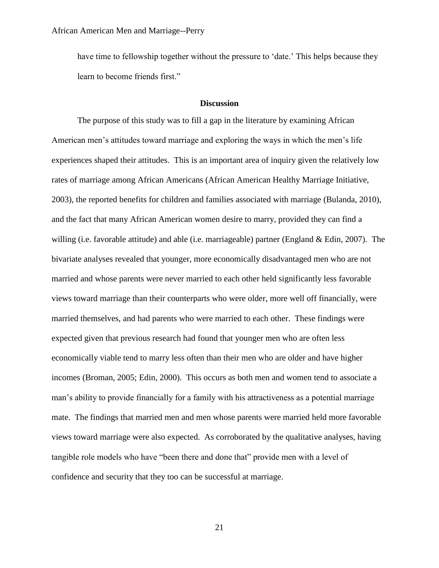have time to fellowship together without the pressure to 'date.' This helps because they learn to become friends first."

#### **Discussion**

The purpose of this study was to fill a gap in the literature by examining African American men"s attitudes toward marriage and exploring the ways in which the men"s life experiences shaped their attitudes. This is an important area of inquiry given the relatively low rates of marriage among African Americans (African American Healthy Marriage Initiative, 2003), the reported benefits for children and families associated with marriage (Bulanda, 2010), and the fact that many African American women desire to marry, provided they can find a willing (i.e. favorable attitude) and able (i.e. marriageable) partner (England & Edin, 2007). The bivariate analyses revealed that younger, more economically disadvantaged men who are not married and whose parents were never married to each other held significantly less favorable views toward marriage than their counterparts who were older, more well off financially, were married themselves, and had parents who were married to each other. These findings were expected given that previous research had found that younger men who are often less economically viable tend to marry less often than their men who are older and have higher incomes (Broman, 2005; Edin, 2000). This occurs as both men and women tend to associate a man"s ability to provide financially for a family with his attractiveness as a potential marriage mate. The findings that married men and men whose parents were married held more favorable views toward marriage were also expected. As corroborated by the qualitative analyses, having tangible role models who have "been there and done that" provide men with a level of confidence and security that they too can be successful at marriage.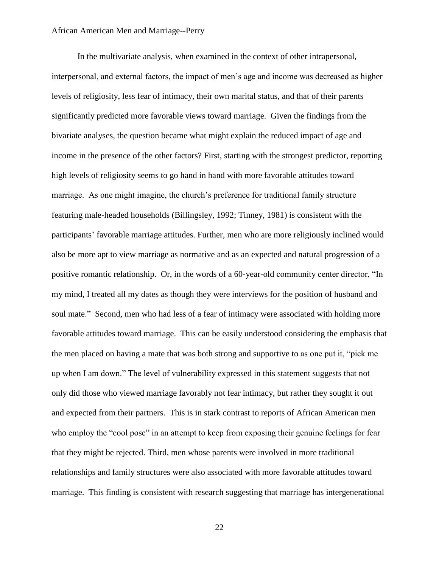In the multivariate analysis, when examined in the context of other intrapersonal, interpersonal, and external factors, the impact of men"s age and income was decreased as higher levels of religiosity, less fear of intimacy, their own marital status, and that of their parents significantly predicted more favorable views toward marriage. Given the findings from the bivariate analyses, the question became what might explain the reduced impact of age and income in the presence of the other factors? First, starting with the strongest predictor, reporting high levels of religiosity seems to go hand in hand with more favorable attitudes toward marriage. As one might imagine, the church"s preference for traditional family structure featuring male-headed households (Billingsley, 1992; Tinney, 1981) is consistent with the participants" favorable marriage attitudes. Further, men who are more religiously inclined would also be more apt to view marriage as normative and as an expected and natural progression of a positive romantic relationship. Or, in the words of a 60-year-old community center director, "In my mind, I treated all my dates as though they were interviews for the position of husband and soul mate." Second, men who had less of a fear of intimacy were associated with holding more favorable attitudes toward marriage. This can be easily understood considering the emphasis that the men placed on having a mate that was both strong and supportive to as one put it, "pick me up when I am down." The level of vulnerability expressed in this statement suggests that not only did those who viewed marriage favorably not fear intimacy, but rather they sought it out and expected from their partners. This is in stark contrast to reports of African American men who employ the "cool pose" in an attempt to keep from exposing their genuine feelings for fear that they might be rejected. Third, men whose parents were involved in more traditional relationships and family structures were also associated with more favorable attitudes toward marriage. This finding is consistent with research suggesting that marriage has intergenerational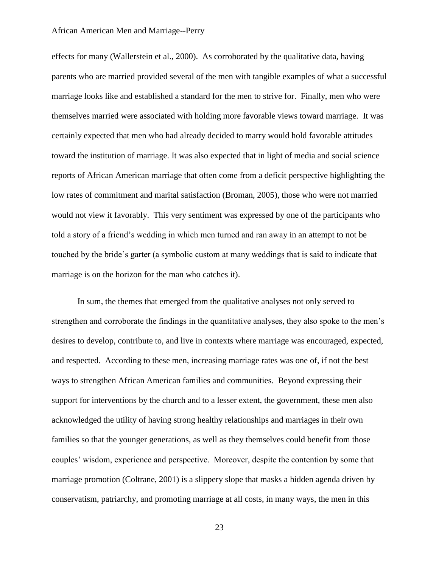effects for many (Wallerstein et al., 2000). As corroborated by the qualitative data, having parents who are married provided several of the men with tangible examples of what a successful marriage looks like and established a standard for the men to strive for. Finally, men who were themselves married were associated with holding more favorable views toward marriage. It was certainly expected that men who had already decided to marry would hold favorable attitudes toward the institution of marriage. It was also expected that in light of media and social science reports of African American marriage that often come from a deficit perspective highlighting the low rates of commitment and marital satisfaction (Broman, 2005), those who were not married would not view it favorably. This very sentiment was expressed by one of the participants who told a story of a friend"s wedding in which men turned and ran away in an attempt to not be touched by the bride"s garter (a symbolic custom at many weddings that is said to indicate that marriage is on the horizon for the man who catches it).

In sum, the themes that emerged from the qualitative analyses not only served to strengthen and corroborate the findings in the quantitative analyses, they also spoke to the men"s desires to develop, contribute to, and live in contexts where marriage was encouraged, expected, and respected. According to these men, increasing marriage rates was one of, if not the best ways to strengthen African American families and communities. Beyond expressing their support for interventions by the church and to a lesser extent, the government, these men also acknowledged the utility of having strong healthy relationships and marriages in their own families so that the younger generations, as well as they themselves could benefit from those couples" wisdom, experience and perspective. Moreover, despite the contention by some that marriage promotion (Coltrane, 2001) is a slippery slope that masks a hidden agenda driven by conservatism, patriarchy, and promoting marriage at all costs, in many ways, the men in this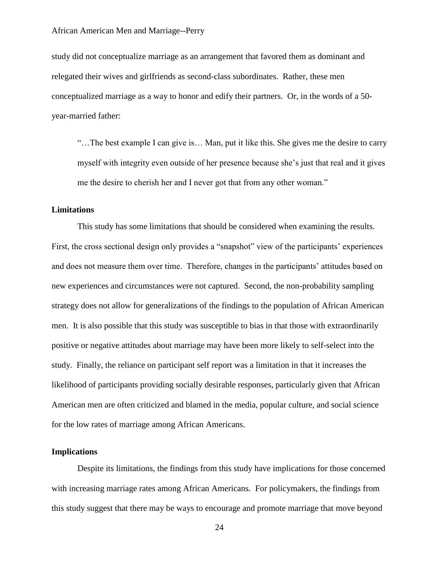study did not conceptualize marriage as an arrangement that favored them as dominant and relegated their wives and girlfriends as second-class subordinates. Rather, these men conceptualized marriage as a way to honor and edify their partners. Or, in the words of a 50 year-married father:

"…The best example I can give is… Man, put it like this. She gives me the desire to carry myself with integrity even outside of her presence because she"s just that real and it gives me the desire to cherish her and I never got that from any other woman."

## **Limitations**

This study has some limitations that should be considered when examining the results. First, the cross sectional design only provides a "snapshot" view of the participants' experiences and does not measure them over time. Therefore, changes in the participants' attitudes based on new experiences and circumstances were not captured. Second, the non-probability sampling strategy does not allow for generalizations of the findings to the population of African American men. It is also possible that this study was susceptible to bias in that those with extraordinarily positive or negative attitudes about marriage may have been more likely to self-select into the study. Finally, the reliance on participant self report was a limitation in that it increases the likelihood of participants providing socially desirable responses, particularly given that African American men are often criticized and blamed in the media, popular culture, and social science for the low rates of marriage among African Americans.

#### **Implications**

Despite its limitations, the findings from this study have implications for those concerned with increasing marriage rates among African Americans. For policymakers, the findings from this study suggest that there may be ways to encourage and promote marriage that move beyond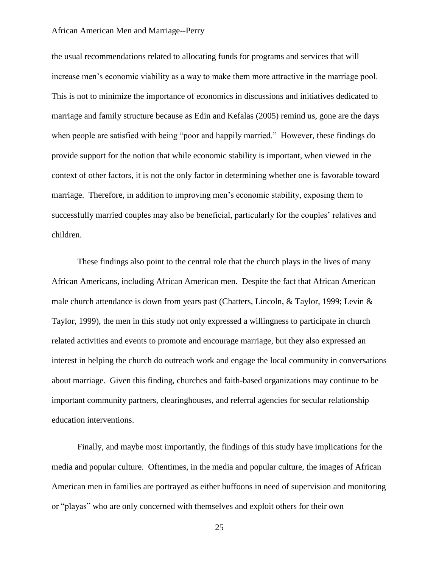the usual recommendations related to allocating funds for programs and services that will increase men's economic viability as a way to make them more attractive in the marriage pool. This is not to minimize the importance of economics in discussions and initiatives dedicated to marriage and family structure because as Edin and Kefalas (2005) remind us, gone are the days when people are satisfied with being "poor and happily married." However, these findings do provide support for the notion that while economic stability is important, when viewed in the context of other factors, it is not the only factor in determining whether one is favorable toward marriage. Therefore, in addition to improving men's economic stability, exposing them to successfully married couples may also be beneficial, particularly for the couples' relatives and children.

These findings also point to the central role that the church plays in the lives of many African Americans, including African American men. Despite the fact that African American male church attendance is down from years past (Chatters, Lincoln, & Taylor, 1999; Levin & Taylor, 1999), the men in this study not only expressed a willingness to participate in church related activities and events to promote and encourage marriage, but they also expressed an interest in helping the church do outreach work and engage the local community in conversations about marriage. Given this finding, churches and faith-based organizations may continue to be important community partners, clearinghouses, and referral agencies for secular relationship education interventions.

Finally, and maybe most importantly, the findings of this study have implications for the media and popular culture. Oftentimes, in the media and popular culture, the images of African American men in families are portrayed as either buffoons in need of supervision and monitoring or "playas" who are only concerned with themselves and exploit others for their own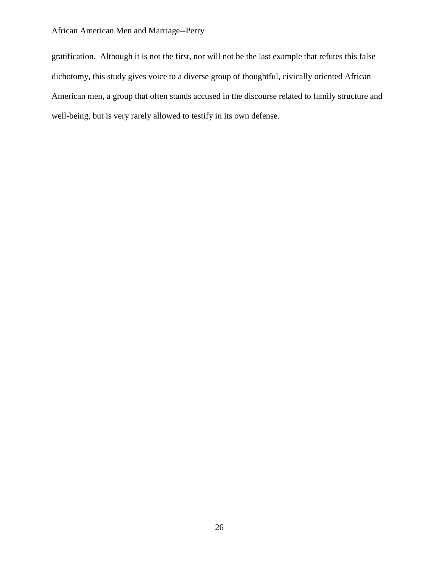gratification. Although it is not the first, nor will not be the last example that refutes this false dichotomy, this study gives voice to a diverse group of thoughtful, civically oriented African American men, a group that often stands accused in the discourse related to family structure and well-being, but is very rarely allowed to testify in its own defense.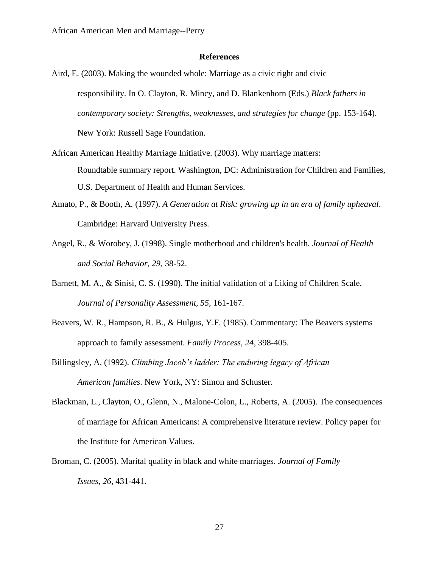## **References**

- Aird, E. (2003). Making the wounded whole: Marriage as a civic right and civic responsibility. In O. Clayton, R. Mincy, and D. Blankenhorn (Eds.) *Black fathers in contemporary society: Strengths, weaknesses, and strategies for change* (pp. 153-164). New York: Russell Sage Foundation.
- African American Healthy Marriage Initiative. (2003). Why marriage matters: Roundtable summary report. Washington, DC: Administration for Children and Families, U.S. Department of Health and Human Services.
- Amato, P., & Booth, A. (1997). *A Generation at Risk: growing up in an era of family upheaval*. Cambridge: Harvard University Press.
- Angel, R., & Worobey, J. (1998). Single motherhood and children's health. *Journal of Health and Social Behavior, 29*, 38-52.
- Barnett, M. A., & Sinisi, C. S. (1990). The initial validation of a Liking of Children Scale. *Journal of Personality Assessment, 55,* 161-167.
- Beavers, W. R., Hampson, R. B., & Hulgus, Y.F. (1985). Commentary: The Beavers systems approach to family assessment. *Family Process, 24,* 398-405.
- Billingsley, A. (1992). *Climbing Jacob's ladder: The enduring legacy of African American families*. New York, NY: Simon and Schuster.
- Blackman, L., Clayton, O., Glenn, N., Malone-Colon, L., Roberts, A. (2005). The consequences of marriage for African Americans: A comprehensive literature review. Policy paper for the Institute for American Values.
- Broman, C. (2005). Marital quality in black and white marriages. *Journal of Family Issues, 26,* 431-441.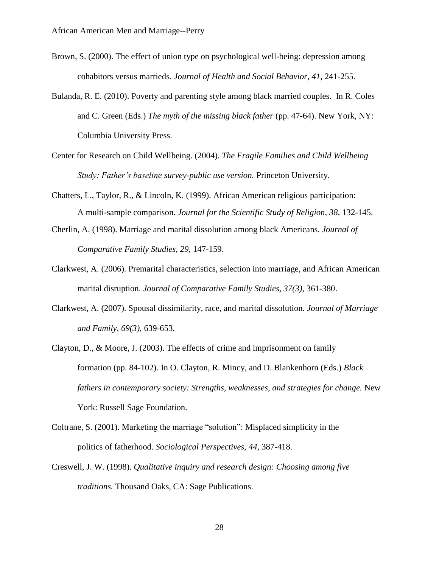- Brown, S. (2000). The effect of union type on psychological well-being: depression among cohabitors versus marrieds. *Journal of Health and Social Behavior, 41*, 241-255.
- Bulanda, R. E. (2010). Poverty and parenting style among black married couples. In R. Coles and C. Green (Eds.) *The myth of the missing black father* (pp. 47-64). New York, NY: Columbia University Press.
- Center for Research on Child Wellbeing. (2004). *The Fragile Families and Child Wellbeing Study: Father's baseline survey-public use version.* Princeton University.
- Chatters, L., Taylor, R., & Lincoln, K. (1999). African American religious participation: A multi-sample comparison. *Journal for the Scientific Study of Religion, 38,* 132-145.
- Cherlin, A. (1998). Marriage and marital dissolution among black Americans. *Journal of Comparative Family Studies, 29,* 147-159.
- Clarkwest, A. (2006). Premarital characteristics, selection into marriage, and African American marital disruption. *Journal of Comparative Family Studies, 37(3),* 361-380.
- Clarkwest, A. (2007). Spousal dissimilarity, race, and marital dissolution. *Journal of Marriage and Family, 69(3),* 639-653.
- Clayton, D., & Moore, J. (2003). The effects of crime and imprisonment on family formation (pp. 84-102). In O. Clayton, R. Mincy, and D. Blankenhorn (Eds.) *Black fathers in contemporary society: Strengths, weaknesses, and strategies for change.* New York: Russell Sage Foundation.
- Coltrane, S. (2001). Marketing the marriage "solution": Misplaced simplicity in the politics of fatherhood. *Sociological Perspectives, 44,* 387-418.
- Creswell, J. W. (1998). *Qualitative inquiry and research design: Choosing among five traditions.* Thousand Oaks, CA: Sage Publications.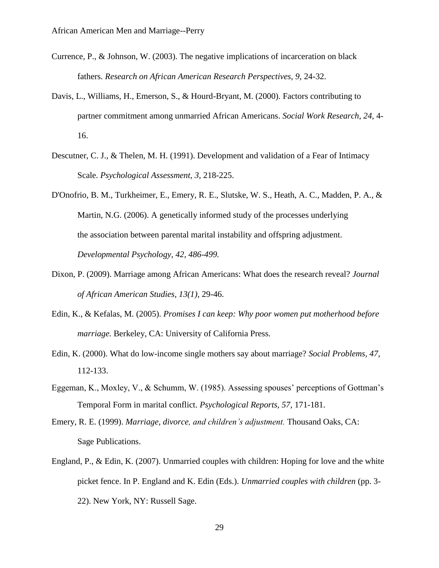- Currence, P., & Johnson, W. (2003). The negative implications of incarceration on black fathers. *Research on African American Research Perspectives, 9,* 24-32.
- Davis, L., Williams, H., Emerson, S., & Hourd-Bryant, M. (2000). Factors contributing to partner commitment among unmarried African Americans. *Social Work Research, 24,* 4- 16.
- Descutner, C. J., & Thelen, M. H. (1991). Development and validation of a Fear of Intimacy Scale. *Psychological Assessment, 3,* 218-225.
- D'Onofrio, B. M., Turkheimer, E., Emery, R. E., Slutske, W. S., Heath, A. C., Madden, P. A., & Martin, N.G. (2006). A genetically informed study of the processes underlying the association between parental marital instability and offspring adjustment. *Developmental Psychology, 42, 486-499.*
- Dixon, P. (2009). Marriage among African Americans: What does the research reveal? *Journal of African American Studies, 13(1),* 29-46.
- Edin, K., & Kefalas, M. (2005). *Promises I can keep: Why poor women put motherhood before marriage.* Berkeley, CA: University of California Press.
- Edin, K. (2000). What do low-income single mothers say about marriage? *Social Problems, 47,* 112-133.
- Eggeman, K., Moxley, V., & Schumm, W. (1985). Assessing spouses' perceptions of Gottman's Temporal Form in marital conflict. *Psychological Reports, 57,* 171-181.
- Emery, R. E. (1999). *Marriage, divorce, and children's adjustment.* Thousand Oaks, CA: Sage Publications.
- England, P., & Edin, K. (2007). Unmarried couples with children: Hoping for love and the white picket fence. In P. England and K. Edin (Eds.). *Unmarried couples with children* (pp. 3- 22). New York, NY: Russell Sage.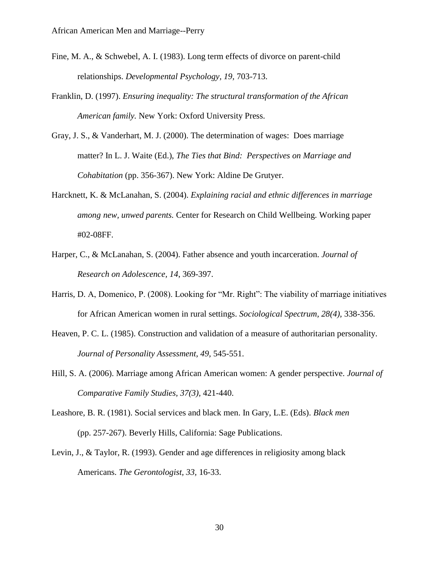- Fine, M. A., & Schwebel, A. I. (1983). Long term effects of divorce on parent-child relationships. *Developmental Psychology, 19,* 703-713.
- Franklin, D. (1997). *Ensuring inequality: The structural transformation of the African American family.* New York: Oxford University Press.
- Gray, J. S., & Vanderhart, M. J. (2000). The determination of wages: Does marriage matter? In L. J. Waite (Ed.), *The Ties that Bind: Perspectives on Marriage and Cohabitation* (pp. 356-367). New York: Aldine De Grutyer.
- Harcknett, K. & McLanahan, S. (2004). *Explaining racial and ethnic differences in marriage among new, unwed parents.* Center for Research on Child Wellbeing. Working paper #02-08FF.
- Harper, C., & McLanahan, S. (2004). Father absence and youth incarceration. *Journal of Research on Adolescence, 14*, 369-397.
- Harris, D. A, Domenico, P. (2008). Looking for "Mr. Right": The viability of marriage initiatives for African American women in rural settings. *Sociological Spectrum, 28(4),* 338-356.
- Heaven, P. C. L. (1985). Construction and validation of a measure of authoritarian personality. *Journal of Personality Assessment, 49,* 545-551.
- Hill, S. A. (2006). Marriage among African American women: A gender perspective. *Journal of Comparative Family Studies, 37(3),* 421-440.
- Leashore, B. R. (1981). Social services and black men. In Gary, L.E. (Eds). *Black men* (pp. 257-267). Beverly Hills, California: Sage Publications.
- Levin, J., & Taylor, R. (1993). Gender and age differences in religiosity among black Americans. *The Gerontologist, 33,* 16-33.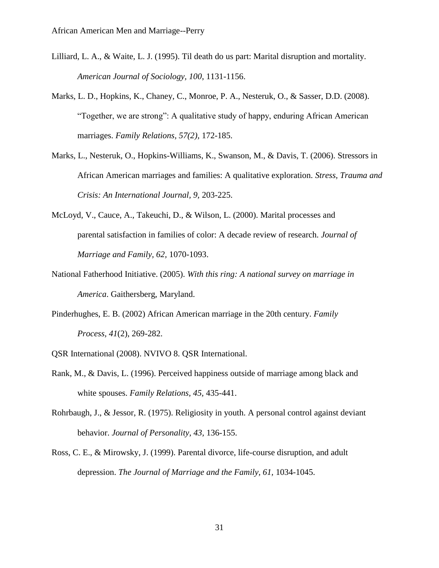- Lilliard, L. A., & Waite, L. J. (1995). Til death do us part: Marital disruption and mortality. *American Journal of Sociology, 100*, 1131-1156.
- Marks, L. D., Hopkins, K., Chaney, C., Monroe, P. A., Nesteruk, O., & Sasser, D.D. (2008). "Together, we are strong": A qualitative study of happy, enduring African American marriages. *Family Relations, 57(2),* 172-185.
- Marks, L., Nesteruk, O., Hopkins-Williams, K., Swanson, M., & Davis, T. (2006). Stressors in African American marriages and families: A qualitative exploration. *Stress, Trauma and Crisis: An International Journal, 9,* 203-225.
- McLoyd, V., Cauce, A., Takeuchi, D., & Wilson, L. (2000). Marital processes and parental satisfaction in families of color: A decade review of research. *Journal of Marriage and Family, 62,* 1070-1093.
- National Fatherhood Initiative. (2005). *With this ring: A national survey on marriage in America*. Gaithersberg, Maryland.
- Pinderhughes, E. B. (2002) African American marriage in the 20th century. *Family Process, 41*(2), 269-282.
- QSR International (2008). NVIVO 8. QSR International.
- Rank, M., & Davis, L. (1996). Perceived happiness outside of marriage among black and white spouses. *Family Relations, 45,* 435-441.
- Rohrbaugh, J., & Jessor, R. (1975). Religiosity in youth. A personal control against deviant behavior. *Journal of Personality, 43,* 136-155.
- Ross, C. E., & Mirowsky, J. (1999). Parental divorce, life-course disruption, and adult depression. *The Journal of Marriage and the Family, 61,* 1034-1045.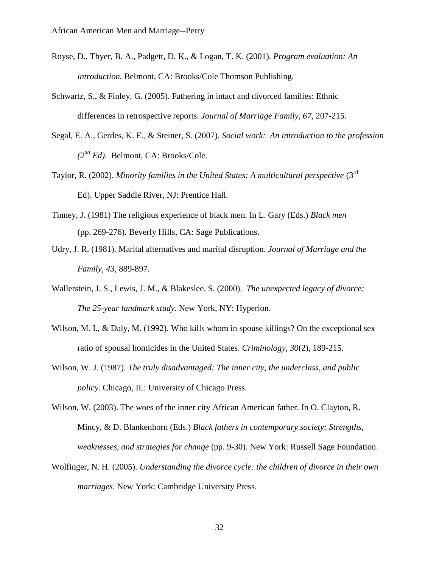- Royse, D., Thyer, B. A., Padgett, D. K., & Logan, T. K. (2001). *Program evaluation: An introduction.* Belmont, CA: Brooks/Cole Thomson Publishing.
- Schwartz, S., & Finley, G. (2005). Fathering in intact and divorced families: Ethnic differences in retrospective reports. *Journal of Marriage Family, 67,* 207-215.
- Segal, E. A., Gerdes, K. E., & Steiner, S. (2007). *Social work: An introduction to the profession (2nd Ed)*. Belmont, CA: Brooks/Cole.
- Taylor, R. (2002). *Minority families in the United States: A multicultural perspective* (3rd Ed). Upper Saddle River, NJ: Prentice Hall.
- Tinney, J. (1981) The religious experience of black men. In L. Gary (Eds.) *Black men* (pp. 269-276). Beverly Hills, CA: Sage Publications.
- Udry, J. R. (1981). Marital alternatives and marital disruption. *Journal of Marriage and the Family, 43*, 889-897.
- Wallerstein, J. S., Lewis, J. M., & Blakeslee, S. (2000). *The unexpected legacy of divorce: The 25-year landmark study*. New York, NY: Hyperion.
- Wilson, M. I., & Daly, M. (1992). Who kills whom in spouse killings? On the exceptional sex ratio of spousal homicides in the United States. *Criminology, 30*(2), 189-215.
- Wilson, W. J. (1987). *The truly disadvantaged: The inner city, the underclass, and public policy.* Chicago, IL: University of Chicago Press.
- Wilson, W. (2003). The woes of the inner city African American father. In O. Clayton, R. Mincy, & D. Blankenhorn (Eds.) *Black fathers in contemporary society: Strengths, weaknesses, and strategies for change* (pp. 9-30). New York: Russell Sage Foundation.
- Wolfinger, N. H. (2005). *Understanding the divorce cycle: the children of divorce in their own marriages*. New York: Cambridge University Press.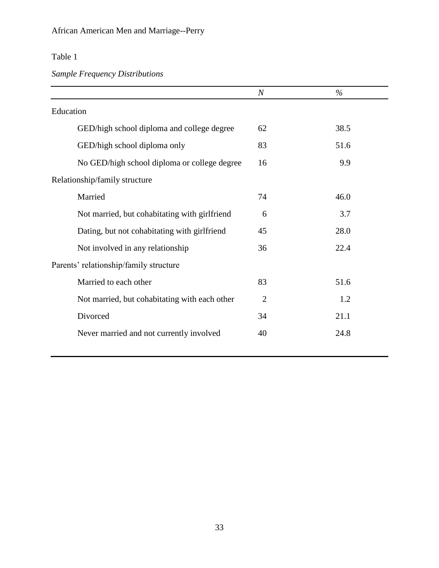## Table 1

## *Sample Frequency Distributions*

|                                               | $\boldsymbol{N}$ | $\%$ |
|-----------------------------------------------|------------------|------|
| Education                                     |                  |      |
| GED/high school diploma and college degree    | 62               | 38.5 |
| GED/high school diploma only                  | 83               | 51.6 |
| No GED/high school diploma or college degree  | 16               | 9.9  |
| Relationship/family structure                 |                  |      |
| Married                                       | 74               | 46.0 |
| Not married, but cohabitating with girlfriend | 6                | 3.7  |
| Dating, but not cohabitating with girlfriend  | 45               | 28.0 |
| Not involved in any relationship              | 36               | 22.4 |
| Parents' relationship/family structure        |                  |      |
| Married to each other                         | 83               | 51.6 |
| Not married, but cohabitating with each other | $\overline{2}$   | 1.2  |
| Divorced                                      | 34               | 21.1 |
| Never married and not currently involved      | 40               | 24.8 |
|                                               |                  |      |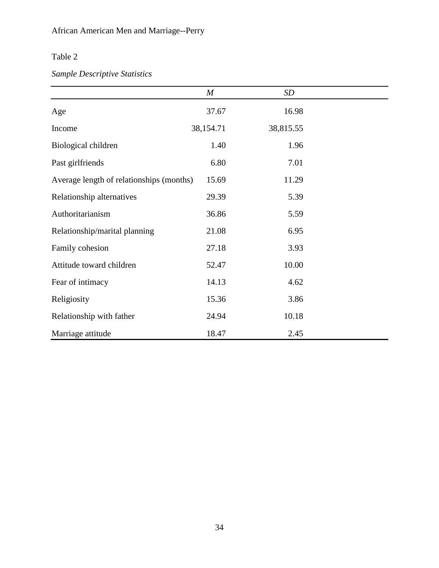## Table 2

## *Sample Descriptive Statistics*

|                                          | $\boldsymbol{M}$ | SD        |  |
|------------------------------------------|------------------|-----------|--|
| Age                                      | 37.67            | 16.98     |  |
| Income                                   | 38,154.71        | 38,815.55 |  |
| Biological children                      | 1.40             | 1.96      |  |
| Past girlfriends                         | 6.80             | 7.01      |  |
| Average length of relationships (months) | 15.69            | 11.29     |  |
| Relationship alternatives                | 29.39            | 5.39      |  |
| Authoritarianism                         | 36.86            | 5.59      |  |
| Relationship/marital planning            | 21.08            | 6.95      |  |
| Family cohesion                          | 27.18            | 3.93      |  |
| Attitude toward children                 | 52.47            | 10.00     |  |
| Fear of intimacy                         | 14.13            | 4.62      |  |
| Religiosity                              | 15.36            | 3.86      |  |
| Relationship with father                 | 24.94            | 10.18     |  |
| Marriage attitude                        | 18.47            | 2.45      |  |